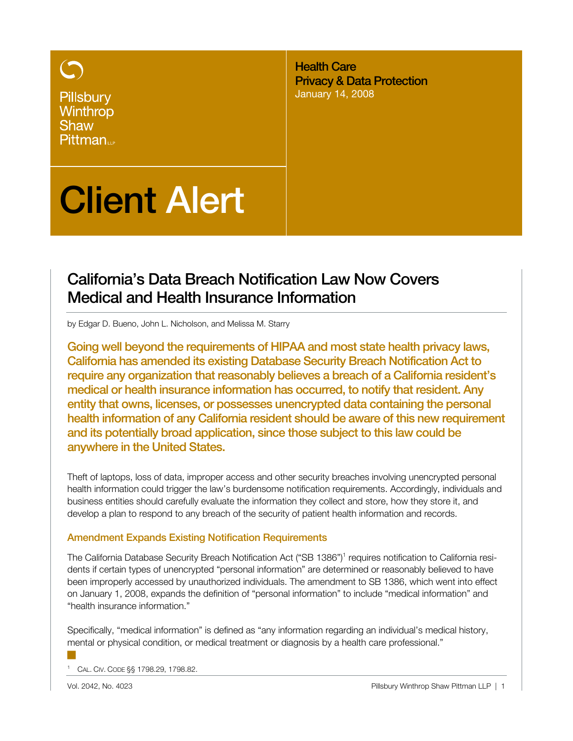Pillsbury Winthrop **Shaw** Pittman<sub>11</sub>

Health Care Privacy & Data Protection January 14, 2008

# Client Alert

## California's Data Breach Notification Law Now Covers Medical and Health Insurance Information

by Edgar D. Bueno, John L. Nicholson, and Melissa M. Starry

Going well beyond the requirements of HIPAA and most state health privacy laws, California has amended its existing Database Security Breach Notification Act to require any organization that reasonably believes a breach of a California resident's medical or health insurance information has occurred, to notify that resident. Any entity that owns, licenses, or possesses unencrypted data containing the personal health information of any California resident should be aware of this new requirement and its potentially broad application, since those subject to this law could be anywhere in the United States.

Theft of laptops, loss of data, improper access and other security breaches involving unencrypted personal health information could trigger the law's burdensome notification requirements. Accordingly, individuals and business entities should carefully evaluate the information they collect and store, how they store it, and develop a plan to respond to any breach of the security of patient health information and records.

## Amendment Expands Existing Notification Requirements

The California Database Security Breach Notification Act ("SB 1386")<sup>1</sup> requires notification to California residents if certain types of unencrypted "personal information" are determined or reasonably believed to have been improperly accessed by unauthorized individuals. The amendment to SB 1386, which went into effect on January 1, 2008, expands the definition of "personal information" to include "medical information" and "health insurance information."

Specifically, "medical information" is defined as "any information regarding an individual's medical history, mental or physical condition, or medical treatment or diagnosis by a health care professional."

1 CAL. CIV. CODE §§ 1798.29, 1798.82.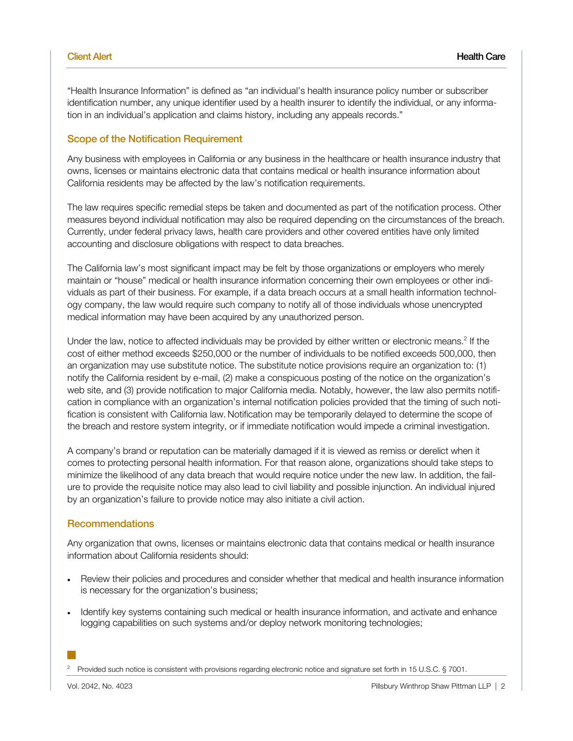"Health Insurance Information" is defined as "an individual's health insurance policy number or subscriber identification number, any unique identifier used by a health insurer to identify the individual, or any information in an individual's application and claims history, including any appeals records."

#### Scope of the Notification Requirement

Any business with employees in California or any business in the healthcare or health insurance industry that owns, licenses or maintains electronic data that contains medical or health insurance information about California residents may be affected by the law's notification requirements.

The law requires specific remedial steps be taken and documented as part of the notification process. Other measures beyond individual notification may also be required depending on the circumstances of the breach. Currently, under federal privacy laws, health care providers and other covered entities have only limited accounting and disclosure obligations with respect to data breaches.

The California law's most significant impact may be felt by those organizations or employers who merely maintain or "house" medical or health insurance information concerning their own employees or other individuals as part of their business. For example, if a data breach occurs at a small health information technology company, the law would require such company to notify all of those individuals whose unencrypted medical information may have been acquired by any unauthorized person.

Under the law, notice to affected individuals may be provided by either written or electronic means.<sup>2</sup> If the cost of either method exceeds \$250,000 or the number of individuals to be notified exceeds 500,000, then an organization may use substitute notice. The substitute notice provisions require an organization to: (1) notify the California resident by e-mail, (2) make a conspicuous posting of the notice on the organization's web site, and (3) provide notification to major California media. Notably, however, the law also permits notification in compliance with an organization's internal notification policies provided that the timing of such notification is consistent with California law. Notification may be temporarily delayed to determine the scope of the breach and restore system integrity, or if immediate notification would impede a criminal investigation.

A company's brand or reputation can be materially damaged if it is viewed as remiss or derelict when it comes to protecting personal health information. For that reason alone, organizations should take steps to minimize the likelihood of any data breach that would require notice under the new law. In addition, the failure to provide the requisite notice may also lead to civil liability and possible injunction. An individual injured by an organization's failure to provide notice may also initiate a civil action.

#### **Recommendations**

Any organization that owns, licenses or maintains electronic data that contains medical or health insurance information about California residents should:

- Review their policies and procedures and consider whether that medical and health insurance information is necessary for the organization's business;
- Identify key systems containing such medical or health insurance information, and activate and enhance logging capabilities on such systems and/or deploy network monitoring technologies;

2 Provided such notice is consistent with provisions regarding electronic notice and signature set forth in 15 U.S.C. § 7001.